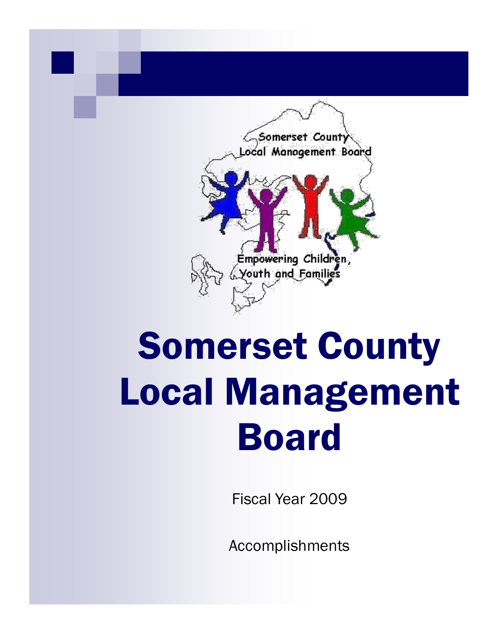

# Somerset County Local Management Board

Fiscal Year 2009

Accomplishments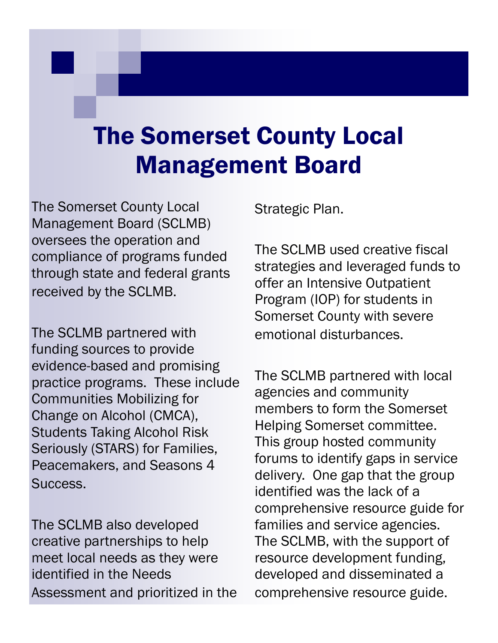# The Somerset County Local Management Board

The Somerset County Local Management Board (SCLMB) oversees the operation and compliance of programs funded through state and federal grants received by the SCLMB.

The SCLMB partnered with funding sources to provide evidence-based and promising practice programs. These include Communities Mobilizing for Change on Alcohol (CMCA), Students Taking Alcohol Risk Seriously (STARS) for Families, Peacemakers, and Seasons 4 Success.

The SCLMB also developed creative partnerships to help meet local needs as they were identified in the Needs Assessment and prioritized in the Strategic Plan.

The SCLMB used creative fiscal strategies and leveraged funds to offer an Intensive Outpatient Program (IOP) for students in Somerset County with severe emotional disturbances.

The SCLMB partnered with local agencies and community members to form the Somerset Helping Somerset committee. This group hosted community forums to identify gaps in service delivery. One gap that the group identified was the lack of a comprehensive resource guide for families and service agencies. The SCLMB, with the support of resource development funding, developed and disseminated a comprehensive resource guide.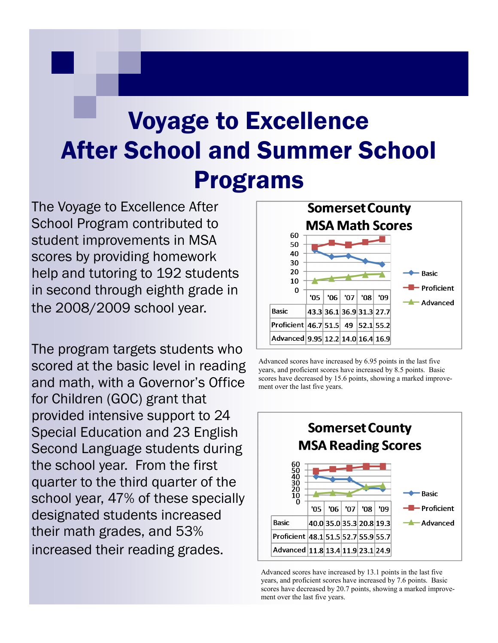# Voyage to Excellence After School and Summer School Programs

The Voyage to Excellence After School Program contributed to student improvements in MSA scores by providing homework help and tutoring to 192 students in second through eighth grade in the 2008/2009 school year.

The program targets students who scored at the basic level in reading and math, with a Governor's Office for Children (GOC) grant that provided intensive support to 24 Special Education and 23 English Second Language students during the school year. From the first quarter to the third quarter of the school year, 47% of these specially designated students increased their math grades, and 53% increased their reading grades.



Advanced scores have increased by 6.95 points in the last five years, and proficient scores have increased by 8.5 points. Basic scores have decreased by 15.6 points, showing a marked improvement over the last five years.



Advanced scores have increased by 13.1 points in the last five years, and proficient scores have increased by 7.6 points. Basic scores have decreased by 20.7 points, showing a marked improvement over the last five years.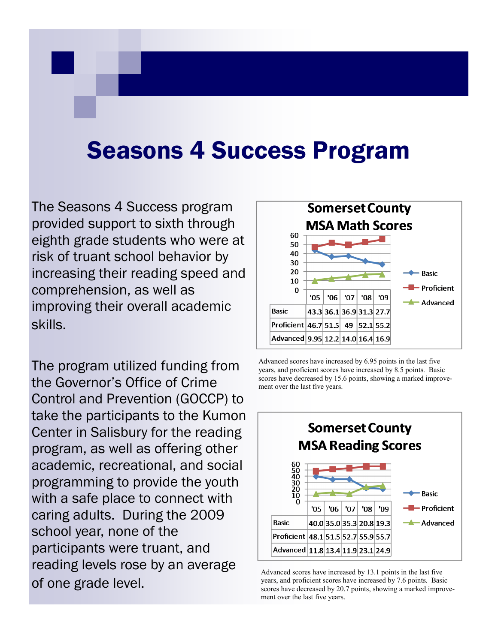#### Seasons 4 Success Program

The Seasons 4 Success program provided support to sixth through eighth grade students who were at risk of truant school behavior by increasing their reading speed and comprehension, as well as improving their overall academic skills.

The program utilized funding from the Governor's Office of Crime Control and Prevention (GOCCP) to take the participants to the Kumon Center in Salisbury for the reading program, as well as offering other academic, recreational, and social programming to provide the youth with a safe place to connect with caring adults. During the 2009 school year, none of the participants were truant, and reading levels rose by an average of one grade level.



Advanced scores have increased by 6.95 points in the last five years, and proficient scores have increased by 8.5 points. Basic scores have decreased by 15.6 points, showing a marked improvement over the last five years.



Advanced scores have increased by 13.1 points in the last five years, and proficient scores have increased by 7.6 points. Basic scores have decreased by 20.7 points, showing a marked improvement over the last five years.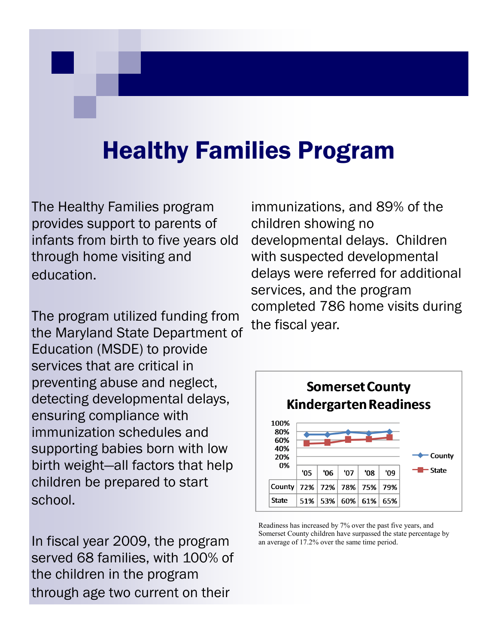# Healthy Families Program

The Healthy Families program provides support to parents of infants from birth to five years old through home visiting and education.

The program utilized funding from the Maryland State Department of Education (MSDE) to provide services that are critical in preventing abuse and neglect, detecting developmental delays, ensuring compliance with immunization schedules and supporting babies born with low birth weight—all factors that help children be prepared to start school.

In fiscal year 2009, the program served 68 families, with 100% of the children in the program through age two current on their

immunizations, and 89% of the children showing no developmental delays. Children with suspected developmental delays were referred for additional services, and the program completed 786 home visits during the fiscal year.



Readiness has increased by 7% over the past five years, and Somerset County children have surpassed the state percentage by an average of 17.2% over the same time period.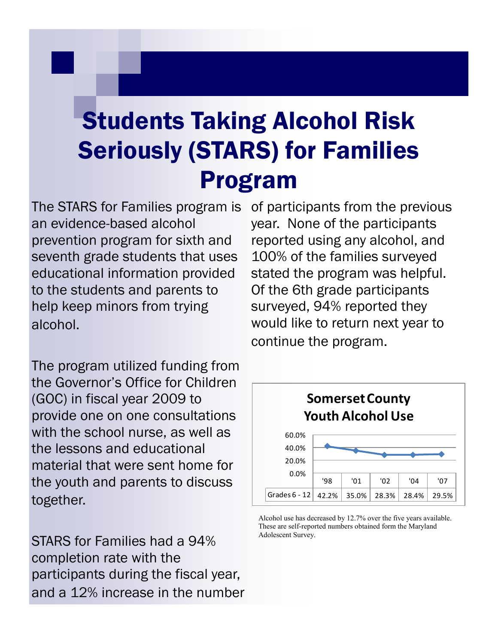# Students Taking Alcohol Risk Seriously (STARS) for Families Program

The STARS for Families program is an evidence-based alcohol prevention program for sixth and seventh grade students that uses educational information provided to the students and parents to help keep minors from trying alcohol.

The program utilized funding from the Governor's Office for Children (GOC) in fiscal year 2009 to provide one on one consultations with the school nurse, as well as the lessons and educational material that were sent home for the youth and parents to discuss together.

STARS for Families had a 94% completion rate with the participants during the fiscal year, and a 12% increase in the number

of participants from the previous year. None of the participants reported using any alcohol, and 100% of the families surveyed stated the program was helpful. Of the 6th grade participants surveyed, 94% reported they would like to return next year to continue the program.



Alcohol use has decreased by 12.7% over the five years available. These are self-reported numbers obtained form the Maryland Adolescent Survey.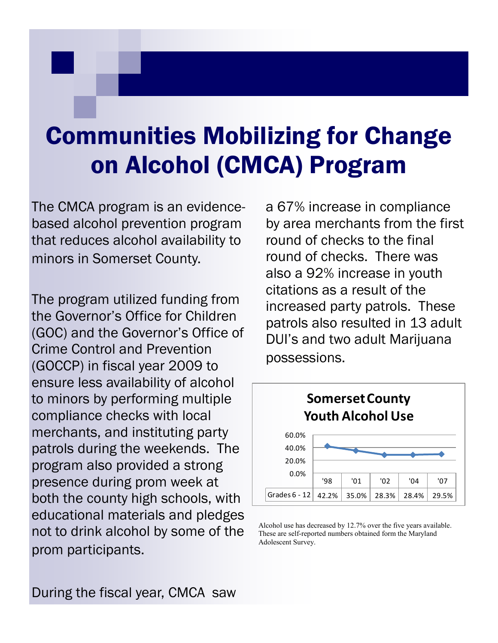# Communities Mobilizing for Change on Alcohol (CMCA) Program

The CMCA program is an evidencebased alcohol prevention program that reduces alcohol availability to minors in Somerset County.

The program utilized funding from the Governor's Office for Children (GOC) and the Governor's Office of Crime Control and Prevention (GOCCP) in fiscal year 2009 to ensure less availability of alcohol to minors by performing multiple compliance checks with local merchants, and instituting party patrols during the weekends. The program also provided a strong presence during prom week at both the county high schools, with educational materials and pledges not to drink alcohol by some of the prom participants.

a 67% increase in compliance by area merchants from the first round of checks to the final round of checks. There was also a 92% increase in youth citations as a result of the increased party patrols. These patrols also resulted in 13 adult DUI's and two adult Marijuana possessions.



Alcohol use has decreased by 12.7% over the five years available. These are self-reported numbers obtained form the Maryland Adolescent Survey.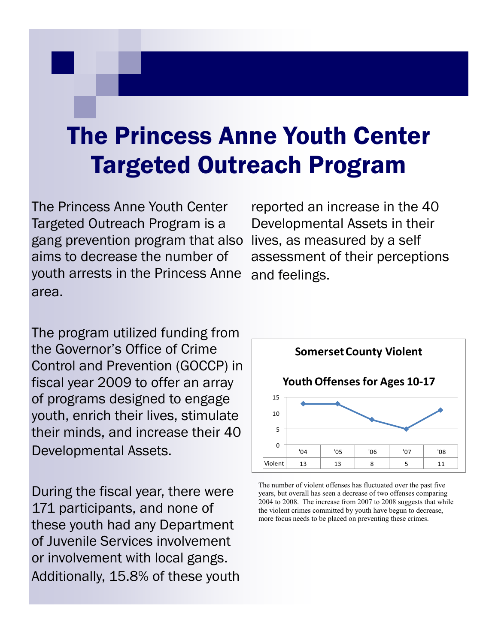# The Princess Anne Youth Center Targeted Outreach Program

The Princess Anne Youth Center Targeted Outreach Program is a gang prevention program that also aims to decrease the number of youth arrests in the Princess Anne area.

reported an increase in the 40 Developmental Assets in their lives, as measured by a self assessment of their perceptions and feelings.

The program utilized funding from the Governor's Office of Crime Control and Prevention (GOCCP) in fiscal year 2009 to offer an array of programs designed to engage youth, enrich their lives, stimulate their minds, and increase their 40 Developmental Assets.

During the fiscal year, there were 171 participants, and none of these youth had any Department of Juvenile Services involvement or involvement with local gangs. Additionally, 15.8% of these youth



The number of violent offenses has fluctuated over the past five years, but overall has seen a decrease of two offenses comparing 2004 to 2008. The increase from 2007 to 2008 suggests that while the violent crimes committed by youth have begun to decrease, more focus needs to be placed on preventing these crimes.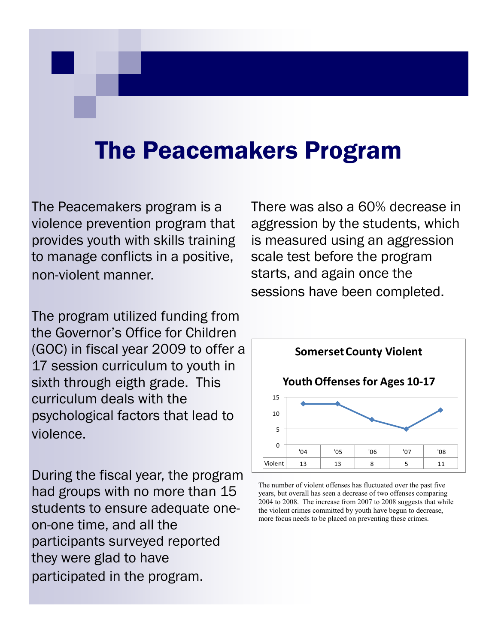#### The Peacemakers Program

The Peacemakers program is a violence prevention program that provides youth with skills training to manage conflicts in a positive, non-violent manner.

The program utilized funding from the Governor's Office for Children (GOC) in fiscal year 2009 to offer a 17 session curriculum to youth in sixth through eigth grade. This curriculum deals with the psychological factors that lead to violence.

During the fiscal year, the program had groups with no more than 15 students to ensure adequate oneon-one time, and all the participants surveyed reported they were glad to have participated in the program.

There was also a 60% decrease in aggression by the students, which is measured using an aggression scale test before the program starts, and again once the sessions have been completed.



The number of violent offenses has fluctuated over the past five years, but overall has seen a decrease of two offenses comparing 2004 to 2008. The increase from 2007 to 2008 suggests that while the violent crimes committed by youth have begun to decrease, more focus needs to be placed on preventing these crimes.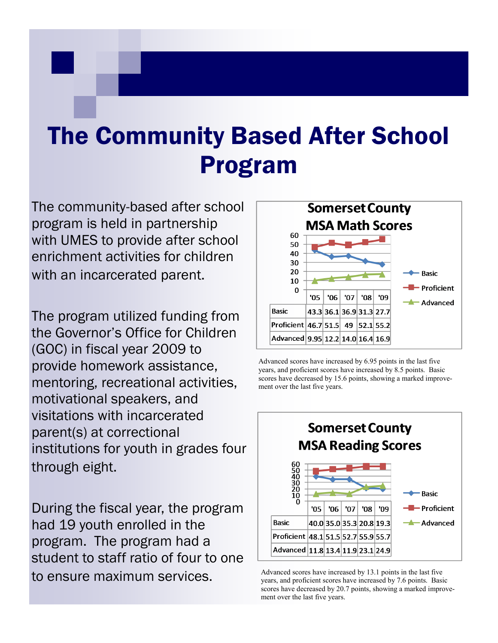# The Community Based After School Program

The community-based after school program is held in partnership with UMES to provide after school enrichment activities for children with an incarcerated parent.

The program utilized funding from the Governor's Office for Children (GOC) in fiscal year 2009 to provide homework assistance, mentoring, recreational activities, motivational speakers, and visitations with incarcerated parent(s) at correctional institutions for youth in grades four through eight.

During the fiscal year, the program had 19 youth enrolled in the program. The program had a student to staff ratio of four to one to ensure maximum services.



Advanced scores have increased by 6.95 points in the last five years, and proficient scores have increased by 8.5 points. Basic scores have decreased by 15.6 points, showing a marked improvement over the last five years.



Advanced scores have increased by 13.1 points in the last five years, and proficient scores have increased by 7.6 points. Basic scores have decreased by 20.7 points, showing a marked improvement over the last five years.